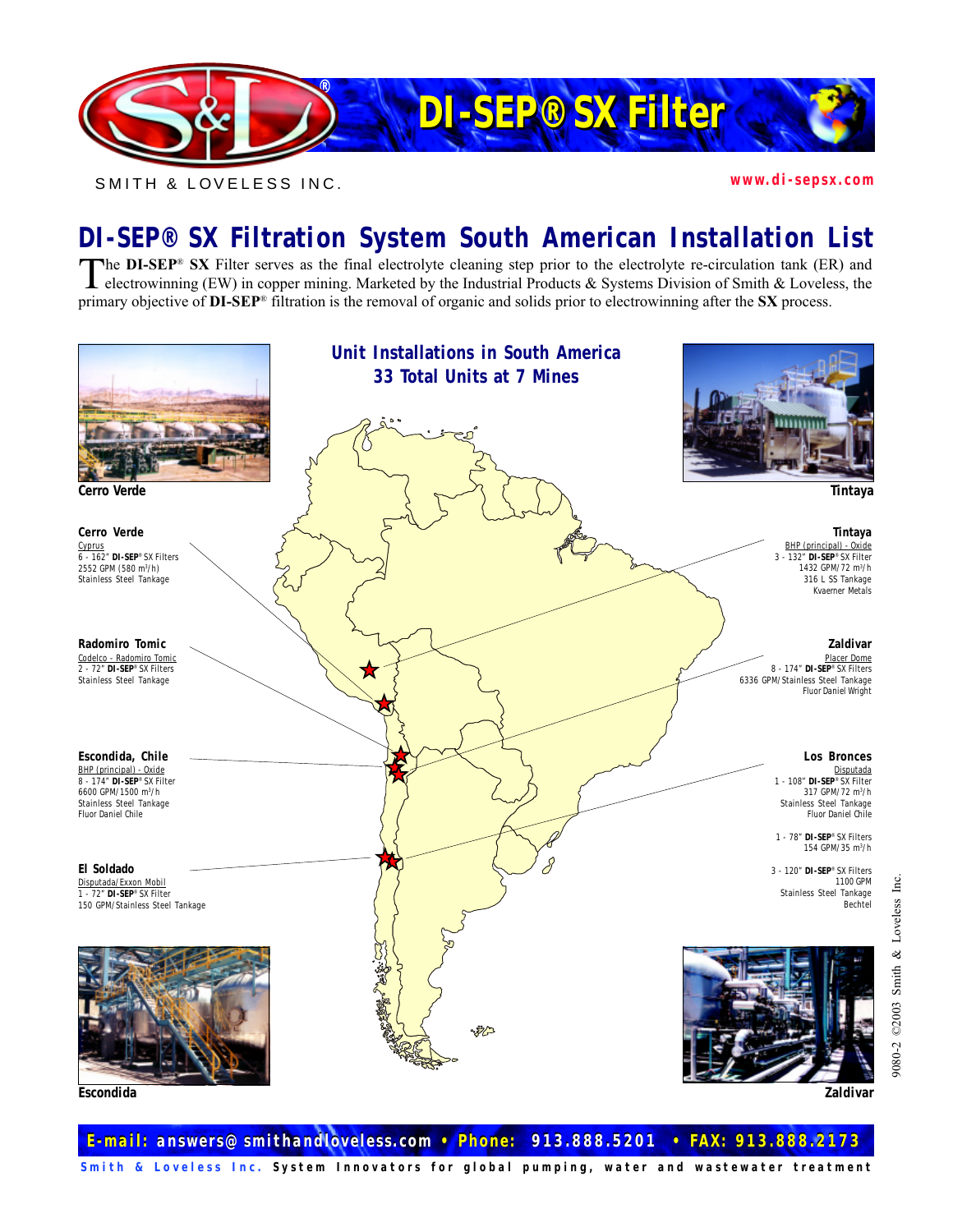

SMITH & LOVELESS INC. *www.di-sepsx.com*

## **DI-SEP® SX Filtration System South American Installation List**

The DI-SEP® SX Filter serves as the final electrolyte cleaning step prior to the electrolyte re-circulation tank (ER) and electrowinning (EW) in copper mining. Marketed by the Industrial Products & Systems Division of Smit primary objective of DI-SEP® filtration is the removal of organic and solids prior to electrowinning after the SX process.



*E-mail: answers@smithandloveless.com • Phone: 913.888.5201 • FAX: 913.888.2173 E-mail: answers@smithandloveless.com • Phone: 913.888.5201 • FAX: 913.888.2173*